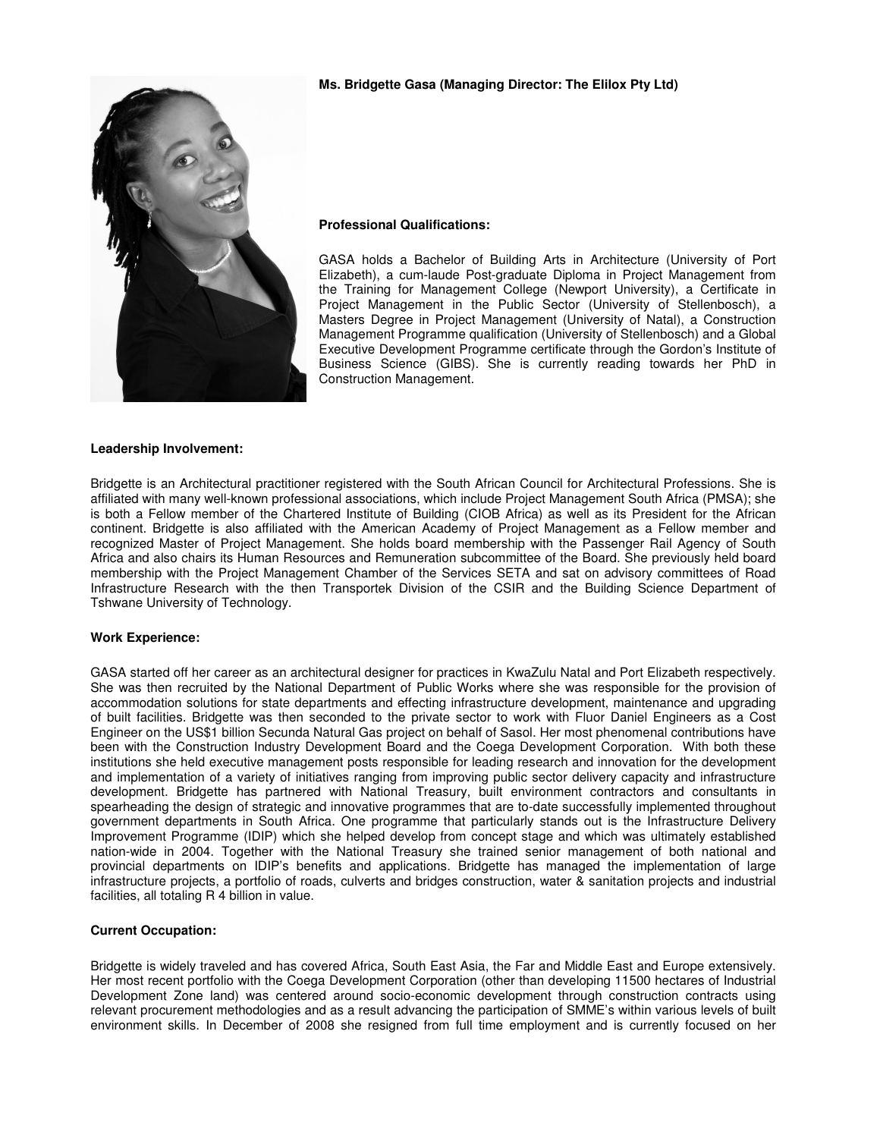

## **Ms. Bridgette Gasa (Managing Director: The Elilox Pty Ltd)**

#### **Professional Qualifications:**

GASA holds a Bachelor of Building Arts in Architecture (University of Port Elizabeth), a cum-laude Post-graduate Diploma in Project Management from the Training for Management College (Newport University), a Certificate in Project Management in the Public Sector (University of Stellenbosch), a Masters Degree in Project Management (University of Natal), a Construction Management Programme qualification (University of Stellenbosch) and a Global Executive Development Programme certificate through the Gordon's Institute of Business Science (GIBS). She is currently reading towards her PhD in Construction Management.

## **Leadership Involvement:**

Bridgette is an Architectural practitioner registered with the South African Council for Architectural Professions. She is affiliated with many well-known professional associations, which include Project Management South Africa (PMSA); she is both a Fellow member of the Chartered Institute of Building (CIOB Africa) as well as its President for the African continent. Bridgette is also affiliated with the American Academy of Project Management as a Fellow member and recognized Master of Project Management. She holds board membership with the Passenger Rail Agency of South Africa and also chairs its Human Resources and Remuneration subcommittee of the Board. She previously held board membership with the Project Management Chamber of the Services SETA and sat on advisory committees of Road Infrastructure Research with the then Transportek Division of the CSIR and the Building Science Department of Tshwane University of Technology.

#### **Work Experience:**

GASA started off her career as an architectural designer for practices in KwaZulu Natal and Port Elizabeth respectively. She was then recruited by the National Department of Public Works where she was responsible for the provision of accommodation solutions for state departments and effecting infrastructure development, maintenance and upgrading of built facilities. Bridgette was then seconded to the private sector to work with Fluor Daniel Engineers as a Cost Engineer on the US\$1 billion Secunda Natural Gas project on behalf of Sasol. Her most phenomenal contributions have been with the Construction Industry Development Board and the Coega Development Corporation. With both these institutions she held executive management posts responsible for leading research and innovation for the development and implementation of a variety of initiatives ranging from improving public sector delivery capacity and infrastructure development. Bridgette has partnered with National Treasury, built environment contractors and consultants in spearheading the design of strategic and innovative programmes that are to-date successfully implemented throughout government departments in South Africa. One programme that particularly stands out is the Infrastructure Delivery Improvement Programme (IDIP) which she helped develop from concept stage and which was ultimately established nation-wide in 2004. Together with the National Treasury she trained senior management of both national and provincial departments on IDIP's benefits and applications. Bridgette has managed the implementation of large infrastructure projects, a portfolio of roads, culverts and bridges construction, water & sanitation projects and industrial facilities, all totaling R 4 billion in value.

#### **Current Occupation:**

Bridgette is widely traveled and has covered Africa, South East Asia, the Far and Middle East and Europe extensively. Her most recent portfolio with the Coega Development Corporation (other than developing 11500 hectares of Industrial Development Zone land) was centered around socio-economic development through construction contracts using relevant procurement methodologies and as a result advancing the participation of SMME's within various levels of built environment skills. In December of 2008 she resigned from full time employment and is currently focused on her